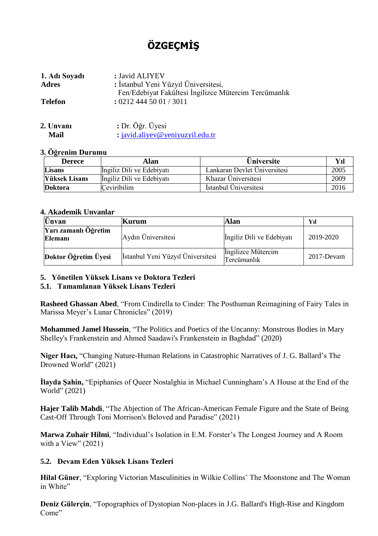# **ÖZGEÇMİŞ**

| 1. Adı Soyadı  | : Javid ALIYEV                                                              |
|----------------|-----------------------------------------------------------------------------|
| <b>Adres</b>   | : İstanbul Yeni Yüzyıl Üniversitesi,                                        |
| <b>Telefon</b> | Fen/Edebiyat Fakültesi İngilizce Mütercim Tercümanlık<br>: 02124445001/3011 |

| 2. Unvanı | : Dr. Öğr. Üyesi                   |  |  |  |
|-----------|------------------------------------|--|--|--|
| Mail      | $:$ javid.aliyev@yeniyuzyil.edu.tr |  |  |  |

#### **3. Öğrenim Durumu**

| <b>Derece</b>        | Alan                      | <b>Üniversite</b>            | Yıl  |
|----------------------|---------------------------|------------------------------|------|
| <b>Lisans</b>        | Ingiliz Dili ve Edebiyatı | Lankaran Devlet Üniversitesi | 2005 |
| <b>Yüksek Lisans</b> | Ingiliz Dili ve Edebiyatı | Khazar Üniversitesi          | 2009 |
| <b>Doktora</b>       | Ceviribilim               | İstanbul Üniversitesi        | 2016 |

#### **4. Akademik Unvanlar**

| Ünvan                           | Kurum                             | Alan                              | Yıl           |
|---------------------------------|-----------------------------------|-----------------------------------|---------------|
| Yarı zamanlı Öğretim<br>Elemani | Aydın Üniversitesi                | Ingiliz Dili ve Edebiyatı         | 2019-2020     |
| Doktor Öğretim Üyesi            | İstanbul Yeni Yüzyıl Üniversitesi | Ingilizce Mütercim<br>Tercümanlık | $2017$ -Devam |

### **5. Yönetilen Yüksek Lisans ve Doktora Tezleri**

### **5.1. Tamamlanan Yüksek Lisans Tezleri**

**Rasheed Ghassan Abed**, "From Cindirella to Cinder: The Posthuman Reimagining of Fairy Tales in Marissa Meyer's Lunar Chronicles" (2019)

**Mohammed Jamel Hussein**, "The Politics and Poetics of the Uncanny: Monstrous Bodies in Mary Shelley's Frankenstein and Ahmed Saadawi's Frankenstein in Baghdad" (2020)

**Niger Hacı,** "Changing Nature-Human Relations in Catastrophic Narratives of J. G. Ballard's The Drowned World" (2021)

**İlayda Şahin,** "Epiphanies of Queer Nostalghia in Michael Cunningham's A House at the End of the World" (2021)

**Hajer Talib Mahdi**, "The Abjection of The African-American Female Figure and the State of Being Cast-Off Through Toni Morrison's Beloved and Paradise" (2021)

**Marwa Zuhair Hilmi**, "Individual's Isolation in E.M. Forster's The Longest Journey and A Room with a View"  $(2021)$ 

### **5.2. Devam Eden Yüksek Lisans Tezleri**

**Hilal Güner**, "Exploring Victorian Masculinities in Wilkie Collins' The Moonstone and The Woman in White"

**Deniz Gülerçin**, "Topographies of Dystopian Non-places in J.G. Ballard's High-Rise and Kingdom Come"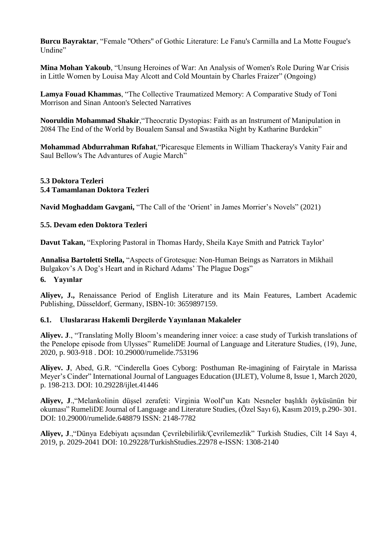**Burcu Bayraktar**, "Female ''Others'' of Gothic Literature: Le Fanu's Carmilla and La Motte Fougue's Undine"

**Mina Mohan Yakoub**, "Unsung Heroines of War: An Analysis of Women's Role During War Crisis in Little Women by Louisa May Alcott and Cold Mountain by Charles Fraizer" (Ongoing)

**Lamya Fouad Khammas**, "The Collective Traumatized Memory: A Comparative Study of Toni Morrison and Sinan Antoon's Selected Narratives

**Nooruldin Mohammad Shakir**,"Theocratic Dystopias: Faith as an Instrument of Manipulation in 2084 The End of the World by Boualem Sansal and Swastika Night by Katharine Burdekin"

**Mohammad Abdurrahman Rıfahat**,"Picaresque Elements in William Thackeray's Vanity Fair and Saul Bellow's The Advantures of Augie March"

#### **5.3 Doktora Tezleri 5.4 Tamamlanan Doktora Tezleri**

**Navid Moghaddam Gavgani,** "The Call of the 'Orient' in James Morrier's Novels" (2021)

### **5.5. Devam eden Doktora Tezleri**

**Davut Takan,** "Exploring Pastoral in Thomas Hardy, Sheila Kaye Smith and Patrick Taylor'

**Annalisa Bartoletti Stella,** "Aspects of Grotesque: Non-Human Beings as Narrators in Mikhail Bulgakov's A Dog's Heart and in Richard Adams' The Plague Dogs"

### **6. Yayınlar**

**Aliyev, J.,** Renaissance Period of English Literature and its Main Features, Lambert Academic Publishing, Düsseldorf, Germany, ISBN-10: 3659897159.

### **6.1. Uluslararası Hakemli Dergilerde Yayınlanan Makaleler**

**Aliyev. J**., "Translating Molly Bloom's meandering inner voice: a case study of Turkish translations of the Penelope episode from Ulysses" RumeliDE Journal of Language and Literature Studies, (19), June, 2020, p. 903-918 . DOI: 10.29000/rumelide.753196

**Aliyev. J**, Abed, G.R. "Cinderella Goes Cyborg: Posthuman Re-imagining of Fairytale in Marissa Meyer's Cinder" International Journal of Languages Education (IJLET), Volume 8, Issue 1, March 2020, p. 198-213. DOI: 10.29228/ijlet.41446

**Aliyev, J**.,"Melankolinin düşsel zerafeti: Virginia Woolf'un Katı Nesneler başlıklı öyküsünün bir okuması" RumeliDE Journal of Language and Literature Studies, (Özel Sayı 6), Kasım 2019, p.290- 301. DOI: 10.29000/rumelide.648879 ISSN: 2148-7782

**Aliyev, J**.,"Dünya Edebiyatı açısından Çevrilebilirlik/Çevrilemezlik" Turkish Studies, Cilt 14 Sayı 4, 2019, p. 2029-2041 DOI: 10.29228/TurkishStudies.22978 e-ISSN: 1308-2140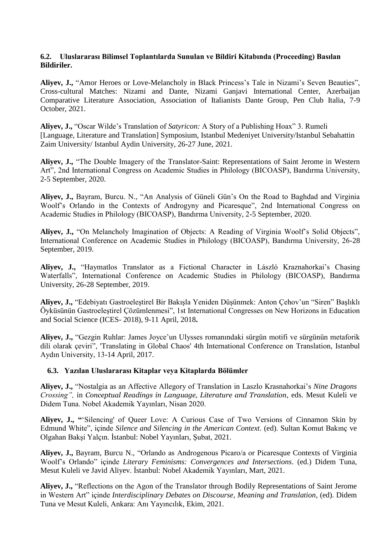#### **6.2. Uluslararası Bilimsel Toplantılarda Sunulan ve Bildiri Kitabında (Proceeding) Basılan Bildiriler.**

**Aliyev, J.,** "Amor Heroes or Love-Melancholy in Black Princess's Tale in Nizami's Seven Beauties", Cross-cultural Matches: Nizami and Dante, Nizami Ganjavi International Center, Azerbaijan Comparative Literature Association, Association of Italianists Dante Group, Pen Club Italia, 7-9 October, 2021.

**Aliyev, J.,** "Oscar Wilde's Translation of *Satyricon:* A Story of a Publishing Hoax" 3. Rumeli [Language, Literature and Translation] Symposium, Istanbul Medeniyet University/Istanbul Sebahattin Zaim University/ Istanbul Aydin University, 26-27 June, 2021.

**Aliyev, J.,** "The Double Imagery of the Translator-Saint: Representations of Saint Jerome in Western Art", 2nd International Congress on Academic Studies in Philology (BICOASP), Bandırma University, 2-5 September, 2020.

**Aliyev, J.,** Bayram, Burcu. N., "An Analysis of Güneli Gün's On the Road to Baghdad and Virginia Woolf's Orlando in the Contexts of Androgyny and Picaresque", 2nd International Congress on Academic Studies in Philology (BICOASP), Bandırma University, 2-5 September, 2020.

**Aliyev, J.,** "On Melancholy Imagination of Objects: A Reading of Virginia Woolf's Solid Objects", International Conference on Academic Studies in Philology (BICOASP), Bandırma University, 26-28 September, 2019.

**Aliyev, J.,** "Haymatlos Translator as a Fictional Character in László Kraznahorkai's Chasing Waterfalls", International Conference on Academic Studies in Philology (BICOASP), Bandırma University, 26-28 September, 2019.

**Aliyev, J.,** "Edebiyatı Gastroeleştirel Bir Bakışla Yeniden Düşünmek: Anton Çehov'un "Siren" Başlıklı Öyküsünün Gastroeleştirel Çözümlenmesi", 1st International Congresses on New Horizons in Education and Social Science (ICES- 2018), 9-11 April, 2018**.**

**Aliyev, J.,** "Gezgin Ruhlar: James Joyce'un Ulysses romanındaki sürgün motifi ve sürgünün metaforik dili olarak çeviri", 'Translating in Global Chaos' 4th International Conference on Translation, Istanbul Aydın University, 13-14 April, 2017.

### **6.3. Yazılan Uluslararası Kitaplar veya Kitaplarda Bölümler**

**Aliyev, J.,** "Nostalgia as an Affective Allegory of Translation in Laszlo Krasnahorkai's *Nine Dragons Crossing",* in *Conceptual Readings in Language, Literature and Translation*, eds. Mesut Kuleli ve Didem Tuna. Nobel Akademik Yayınları, Nisan 2020.

**Aliyev, J., "**'Silencing' of Queer Love: A Curious Case of Two Versions of Cinnamon Skin by Edmund White", içinde *Silence and Silencing in the American Context*. (ed). Sultan Komut Bakınç ve Olgahan Bakşi Yalçın. İstanbul: Nobel Yayınları, Şubat, 2021.

**Aliyev, J.,** Bayram, Burcu N., "Orlando as Androgenous Picaro/a or Picaresque Contexts of Virginia Woolf's Orlando" içinde *Literary Feminisms: Convergences and Intersections*. (ed.) Didem Tuna, Mesut Kuleli ve Javid Aliyev. İstanbul: Nobel Akademik Yayınları, Mart, 2021.

**Aliyev, J.,** "Reflections on the Agon of the Translator through Bodily Representations of Saint Jerome in Western Art" içinde *Interdisciplinary Debates on Discourse, Meaning and Translation*, (ed). Didem Tuna ve Mesut Kuleli, Ankara: Anı Yayıncılık, Ekim, 2021.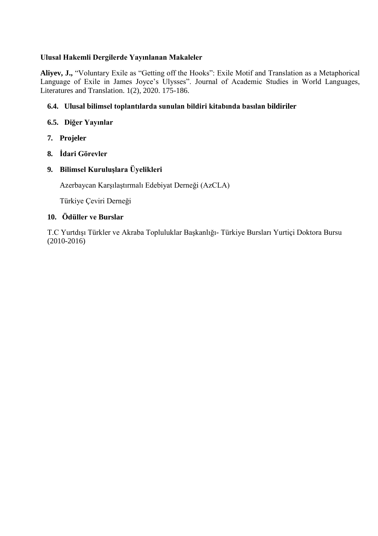## **Ulusal Hakemli Dergilerde Yayınlanan Makaleler**

**Aliyev, J.,** "Voluntary Exile as "Getting off the Hooks": Exile Motif and Translation as a Metaphorical Language of Exile in James Joyce's Ulysses". Journal of Academic Studies in World Languages, Literatures and Translation. 1(2), 2020. 175-186.

## **6.4. Ulusal bilimsel toplantılarda sunulan bildiri kitabında basılan bildiriler**

## **6.5. Diğer Yayınlar**

- **7. Projeler**
- **8. İdari Görevler**

## **9. Bilimsel Kuruluşlara Üyelikleri**

Azerbaycan Karşılaştırmalı Edebiyat Derneği (AzCLA)

Türkiye Çeviri Derneği

### **10. Ödüller ve Burslar**

T.C Yurtdışı Türkler ve Akraba Topluluklar Başkanlığı- Türkiye Bursları Yurtiçi Doktora Bursu (2010-2016)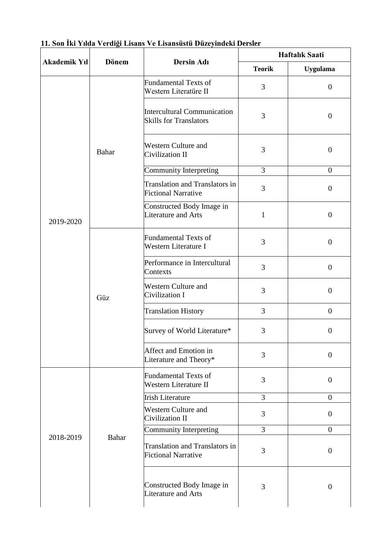| <b>Akademik Yıl</b> | <b>Dönem</b> | Dersin Adı                                                          | <b>Haftalik Saati</b> |                  |  |
|---------------------|--------------|---------------------------------------------------------------------|-----------------------|------------------|--|
|                     |              |                                                                     | <b>Teorik</b>         | <b>Uygulama</b>  |  |
|                     |              | <b>Fundamental Texts of</b><br>Western Literatüre II                | 3                     | $\boldsymbol{0}$ |  |
|                     |              | <b>Intercultural Communication</b><br><b>Skills for Translators</b> | 3                     | $\boldsymbol{0}$ |  |
|                     | <b>Bahar</b> | <b>Western Culture and</b><br>Civilization II                       | 3                     | $\boldsymbol{0}$ |  |
|                     |              | Community Interpreting                                              | $\overline{3}$        | $\overline{0}$   |  |
|                     |              | Translation and Translators in<br><b>Fictional Narrative</b>        | 3                     | $\boldsymbol{0}$ |  |
| 2019-2020           |              | Constructed Body Image in<br><b>Literature and Arts</b>             | $\mathbf{1}$          | $\boldsymbol{0}$ |  |
|                     | Güz          | <b>Fundamental Texts of</b><br>Western Literature I                 | $\overline{3}$        | $\boldsymbol{0}$ |  |
|                     |              | Performance in Intercultural<br>Contexts                            | 3                     | $\boldsymbol{0}$ |  |
|                     |              | <b>Western Culture and</b><br>Civilization I                        | 3                     | $\boldsymbol{0}$ |  |
|                     |              | <b>Translation History</b>                                          | 3                     | $\overline{0}$   |  |
|                     |              | Survey of World Literature*                                         | 3                     | $\boldsymbol{0}$ |  |
|                     |              | Affect and Emotion in<br>Literature and Theory*                     | 3                     | $\theta$         |  |
|                     |              | <b>Fundamental Texts of</b><br>Western Literature II                | 3                     | $\boldsymbol{0}$ |  |
|                     | <b>Bahar</b> | <b>Irish Literature</b>                                             | $\overline{3}$        | $\overline{0}$   |  |
|                     |              | <b>Western Culture and</b><br>Civilization II                       | 3                     | $\overline{0}$   |  |
|                     |              | Community Interpreting                                              | $\overline{3}$        | $\overline{0}$   |  |
| 2018-2019           |              | <b>Translation and Translators in</b><br><b>Fictional Narrative</b> | 3                     | $\boldsymbol{0}$ |  |
|                     |              | Constructed Body Image in<br>Literature and Arts                    | 3                     | $\boldsymbol{0}$ |  |

|  |  |  | 11. Son İki Yılda Verdiği Lisans Ve Lisansüstü Düzeyindeki Dersler |  |  |
|--|--|--|--------------------------------------------------------------------|--|--|
|  |  |  |                                                                    |  |  |